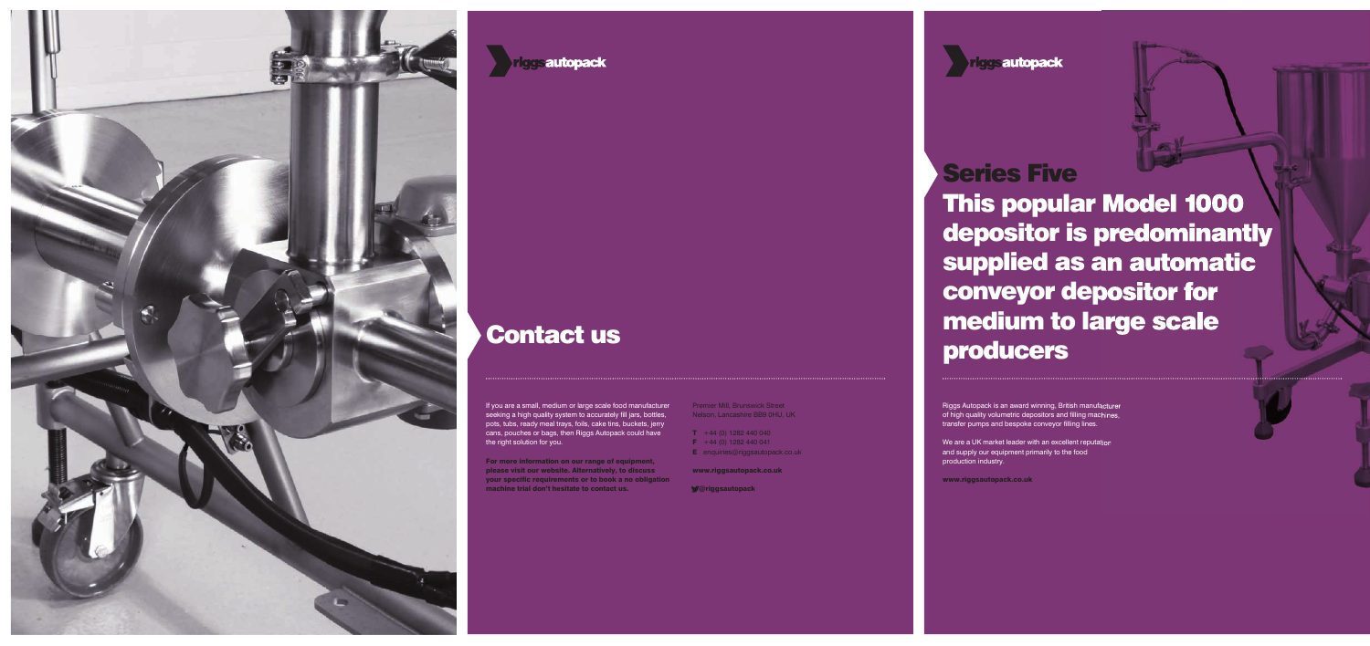# Series Five

Riggs Autopack is an award winning, British manufacturer of high quality volumetric depositors and filling machines, transfer pumps and bespoke conveyor filling lines.

This popular Model 1000 depositor is predominantly supplied as an automatic conveyor depositor for medium to large scale producers

We are a UK market leader with an excellent reputation and supply our equipment primarily to the food production industry.

www.riggsautopack.co.uk

If you are a small, medium or large scale food manufacturer seeking a high quality system to accurately fill jars, bottles, pots, tubs, ready meal trays, foils, cake tins, buckets, jerry cans, pouches or bags, then Riggs Autopack could have the right solution for you.





## Contact us

For more information on our range of equipment, please visit our website. Alternatively, to discuss your specific requirements or to book a no obligation machine trial don't hesitate to contact us.

Premier Mill, Brunswick Street Nelson, Lancashire BB9 0HU, UK

- $T + 44 (0) 1282 440 040$
- $\overline{F}$  +44 (0) 1282 440 041
- **E** enquiries@riggsautopack.co.uk

www.riggsautopack.co.uk

@riggsautopack

**Triggs autopack**